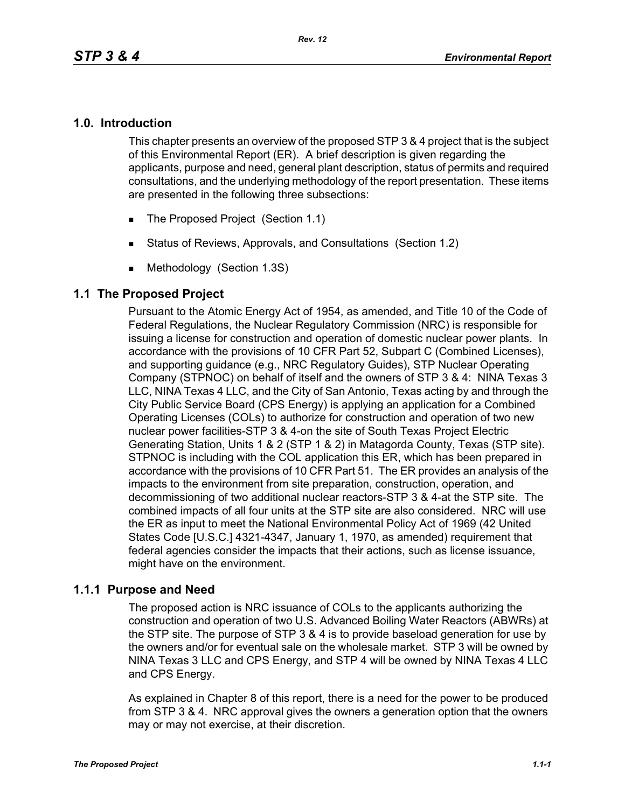#### **1.0. Introduction**

This chapter presents an overview of the proposed STP 3 & 4 project that is the subject of this Environmental Report (ER). A brief description is given regarding the applicants, purpose and need, general plant description, status of permits and required consultations, and the underlying methodology of the report presentation. These items are presented in the following three subsections:

- The Proposed Project (Section 1.1)
- Status of Reviews, Approvals, and Consultations (Section 1.2)
- **Methodology (Section 1.3S)**

### **1.1 The Proposed Project**

Pursuant to the Atomic Energy Act of 1954, as amended, and Title 10 of the Code of Federal Regulations, the Nuclear Regulatory Commission (NRC) is responsible for issuing a license for construction and operation of domestic nuclear power plants. In accordance with the provisions of 10 CFR Part 52, Subpart C (Combined Licenses), and supporting guidance (e.g., NRC Regulatory Guides), STP Nuclear Operating Company (STPNOC) on behalf of itself and the owners of STP 3 & 4: NINA Texas 3 LLC, NINA Texas 4 LLC, and the City of San Antonio, Texas acting by and through the City Public Service Board (CPS Energy) is applying an application for a Combined Operating Licenses (COLs) to authorize for construction and operation of two new nuclear power facilities-STP 3 & 4-on the site of South Texas Project Electric Generating Station, Units 1 & 2 (STP 1 & 2) in Matagorda County, Texas (STP site). STPNOC is including with the COL application this ER, which has been prepared in accordance with the provisions of 10 CFR Part 51. The ER provides an analysis of the impacts to the environment from site preparation, construction, operation, and decommissioning of two additional nuclear reactors-STP 3 & 4-at the STP site. The combined impacts of all four units at the STP site are also considered. NRC will use the ER as input to meet the National Environmental Policy Act of 1969 (42 United States Code [U.S.C.] 4321-4347, January 1, 1970, as amended) requirement that federal agencies consider the impacts that their actions, such as license issuance, might have on the environment.

### **1.1.1 Purpose and Need**

The proposed action is NRC issuance of COLs to the applicants authorizing the construction and operation of two U.S. Advanced Boiling Water Reactors (ABWRs) at the STP site. The purpose of STP 3 & 4 is to provide baseload generation for use by the owners and/or for eventual sale on the wholesale market. STP 3 will be owned by NINA Texas 3 LLC and CPS Energy, and STP 4 will be owned by NINA Texas 4 LLC and CPS Energy.

As explained in Chapter 8 of this report, there is a need for the power to be produced from STP 3 & 4. NRC approval gives the owners a generation option that the owners may or may not exercise, at their discretion.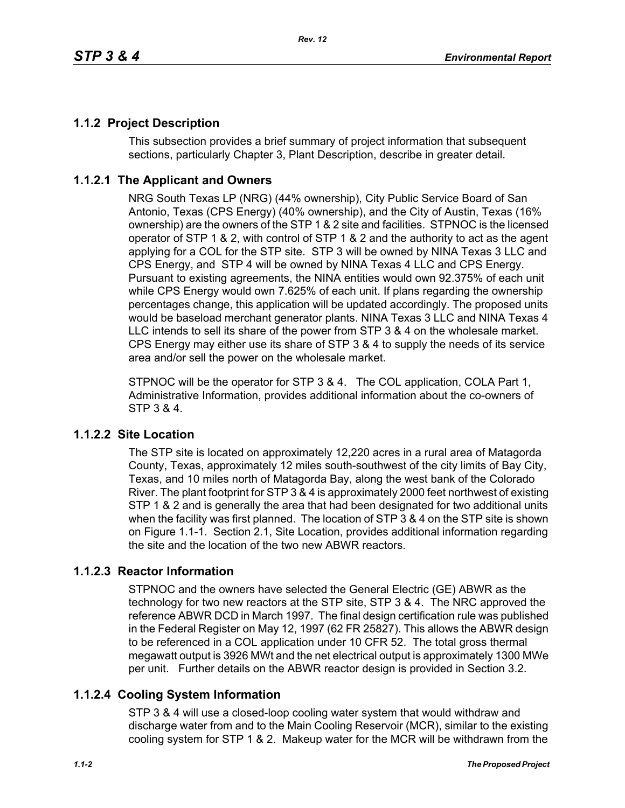## **1.1.2 Project Description**

This subsection provides a brief summary of project information that subsequent sections, particularly Chapter 3, Plant Description, describe in greater detail.

### **1.1.2.1 The Applicant and Owners**

NRG South Texas LP (NRG) (44% ownership), City Public Service Board of San Antonio, Texas (CPS Energy) (40% ownership), and the City of Austin, Texas (16% ownership) are the owners of the STP 1 & 2 site and facilities. STPNOC is the licensed operator of STP 1 & 2, with control of STP 1 & 2 and the authority to act as the agent applying for a COL for the STP site. STP 3 will be owned by NINA Texas 3 LLC and CPS Energy, and STP 4 will be owned by NINA Texas 4 LLC and CPS Energy. Pursuant to existing agreements, the NINA entities would own 92.375% of each unit while CPS Energy would own 7.625% of each unit. If plans regarding the ownership percentages change, this application will be updated accordingly. The proposed units would be baseload merchant generator plants. NINA Texas 3 LLC and NINA Texas 4 LLC intends to sell its share of the power from STP 3 & 4 on the wholesale market. CPS Energy may either use its share of STP 3 & 4 to supply the needs of its service area and/or sell the power on the wholesale market.

STPNOC will be the operator for STP 3 & 4. The COL application, COLA Part 1, Administrative Information, provides additional information about the co-owners of STP 3 & 4.

### **1.1.2.2 Site Location**

The STP site is located on approximately 12,220 acres in a rural area of Matagorda County, Texas, approximately 12 miles south-southwest of the city limits of Bay City, Texas, and 10 miles north of Matagorda Bay, along the west bank of the Colorado River. The plant footprint for STP 3 & 4 is approximately 2000 feet northwest of existing STP 1 & 2 and is generally the area that had been designated for two additional units when the facility was first planned. The location of STP 3 & 4 on the STP site is shown on Figure 1.1-1. Section 2.1, Site Location, provides additional information regarding the site and the location of the two new ABWR reactors.

### **1.1.2.3 Reactor Information**

STPNOC and the owners have selected the General Electric (GE) ABWR as the technology for two new reactors at the STP site, STP 3 & 4. The NRC approved the reference ABWR DCD in March 1997. The final design certification rule was published in the Federal Register on May 12, 1997 (62 FR 25827). This allows the ABWR design to be referenced in a COL application under 10 CFR 52. The total gross thermal megawatt output is 3926 MWt and the net electrical output is approximately 1300 MWe per unit. Further details on the ABWR reactor design is provided in Section 3.2.

## **1.1.2.4 Cooling System Information**

STP 3 & 4 will use a closed-loop cooling water system that would withdraw and discharge water from and to the Main Cooling Reservoir (MCR), similar to the existing cooling system for STP 1 & 2. Makeup water for the MCR will be withdrawn from the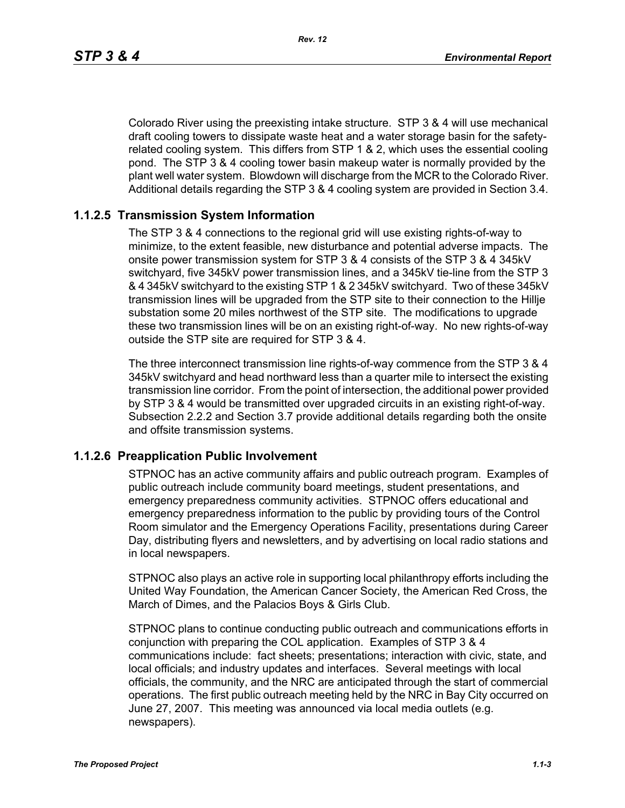Colorado River using the preexisting intake structure. STP 3 & 4 will use mechanical draft cooling towers to dissipate waste heat and a water storage basin for the safetyrelated cooling system. This differs from STP 1 & 2, which uses the essential cooling pond. The STP 3 & 4 cooling tower basin makeup water is normally provided by the plant well water system. Blowdown will discharge from the MCR to the Colorado River. Additional details regarding the STP 3 & 4 cooling system are provided in Section 3.4.

#### **1.1.2.5 Transmission System Information**

The STP 3 & 4 connections to the regional grid will use existing rights-of-way to minimize, to the extent feasible, new disturbance and potential adverse impacts. The onsite power transmission system for STP 3 & 4 consists of the STP 3 & 4 345kV switchyard, five 345kV power transmission lines, and a 345kV tie-line from the STP 3 & 4 345kV switchyard to the existing STP 1 & 2 345kV switchyard. Two of these 345kV transmission lines will be upgraded from the STP site to their connection to the Hillje substation some 20 miles northwest of the STP site. The modifications to upgrade these two transmission lines will be on an existing right-of-way. No new rights-of-way outside the STP site are required for STP 3 & 4.

The three interconnect transmission line rights-of-way commence from the STP 3 & 4 345kV switchyard and head northward less than a quarter mile to intersect the existing transmission line corridor. From the point of intersection, the additional power provided by STP 3 & 4 would be transmitted over upgraded circuits in an existing right-of-way. Subsection 2.2.2 and Section 3.7 provide additional details regarding both the onsite and offsite transmission systems.

#### **1.1.2.6 Preapplication Public Involvement**

STPNOC has an active community affairs and public outreach program. Examples of public outreach include community board meetings, student presentations, and emergency preparedness community activities. STPNOC offers educational and emergency preparedness information to the public by providing tours of the Control Room simulator and the Emergency Operations Facility, presentations during Career Day, distributing flyers and newsletters, and by advertising on local radio stations and in local newspapers.

STPNOC also plays an active role in supporting local philanthropy efforts including the United Way Foundation, the American Cancer Society, the American Red Cross, the March of Dimes, and the Palacios Boys & Girls Club.

STPNOC plans to continue conducting public outreach and communications efforts in conjunction with preparing the COL application. Examples of STP 3 & 4 communications include: fact sheets; presentations; interaction with civic, state, and local officials; and industry updates and interfaces. Several meetings with local officials, the community, and the NRC are anticipated through the start of commercial operations. The first public outreach meeting held by the NRC in Bay City occurred on June 27, 2007. This meeting was announced via local media outlets (e.g. newspapers).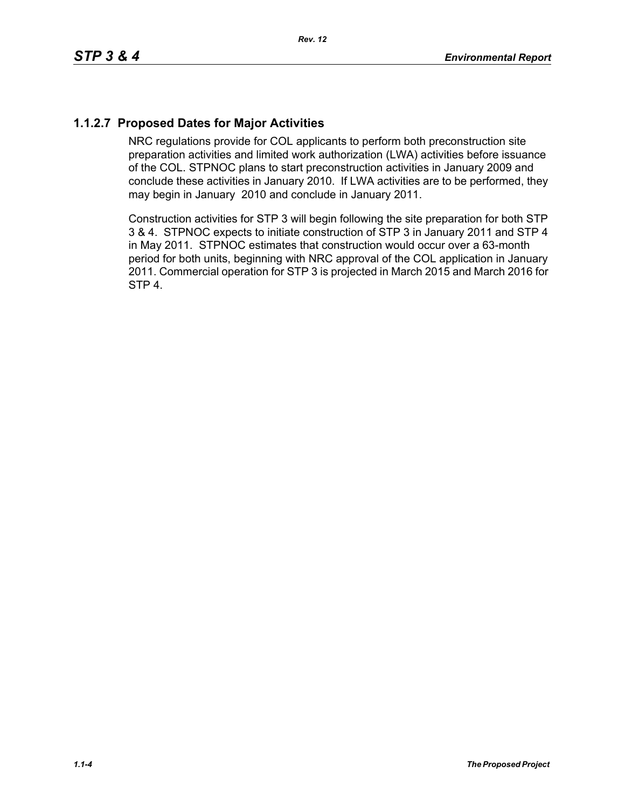# **1.1.2.7 Proposed Dates for Major Activities**

NRC regulations provide for COL applicants to perform both preconstruction site preparation activities and limited work authorization (LWA) activities before issuance of the COL. STPNOC plans to start preconstruction activities in January 2009 and conclude these activities in January 2010. If LWA activities are to be performed, they may begin in January 2010 and conclude in January 2011.

Construction activities for STP 3 will begin following the site preparation for both STP 3 & 4. STPNOC expects to initiate construction of STP 3 in January 2011 and STP 4 in May 2011. STPNOC estimates that construction would occur over a 63-month period for both units, beginning with NRC approval of the COL application in January 2011. Commercial operation for STP 3 is projected in March 2015 and March 2016 for STP 4.